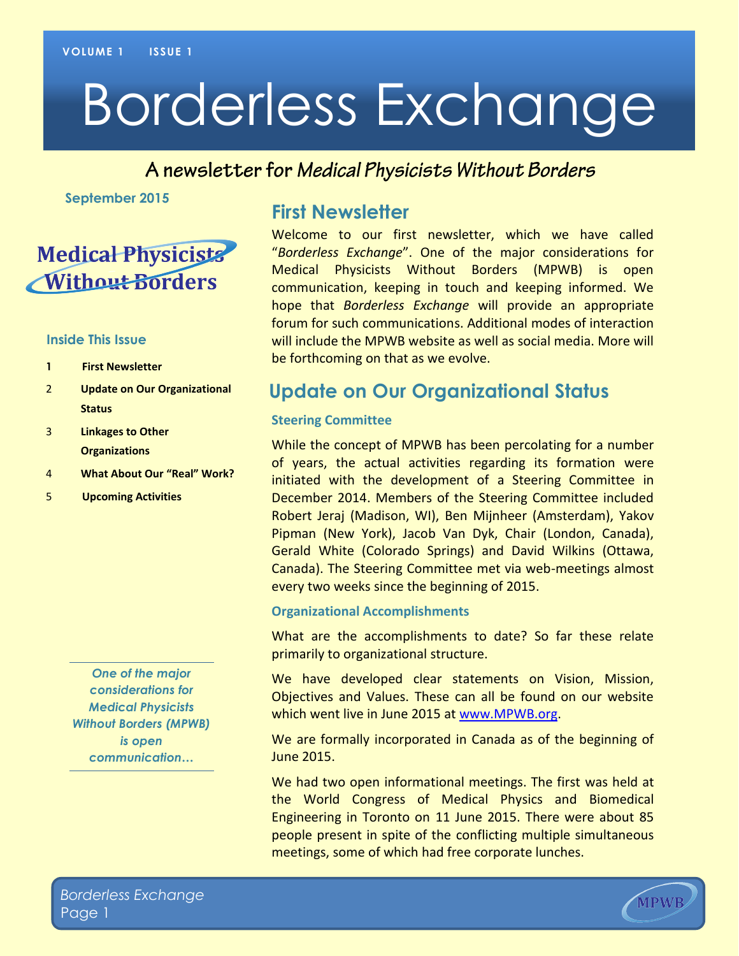# Borderless Exchange

#### A newsletter for Medical Physicists Without Borders

**September 2015**

## **Medical Physicists** Without Borders

#### **Inside This Issue**

- **1 First Newsletter**
- 2 **Update on Our Organizational Status**
- 3 **Linkages to Other Organizations**
- 4 **What About Our "Real" Work?**
- 5 **Upcoming Activities**

*One of the major considerations for Medical Physicists Without Borders (MPWB) is open communication…*

#### **First Newsletter**

Welcome to our first newsletter, which we have called "*Borderless Exchange*". One of the major considerations for Medical Physicists Without Borders (MPWB) is open communication, keeping in touch and keeping informed. We hope that *Borderless Exchange* will provide an appropriate forum for such communications. Additional modes of interaction will include the MPWB website as well as social media. More will be forthcoming on that as we evolve.

#### **Update on Our Organizational Status**

#### **Steering Committee**

While the concept of MPWB has been percolating for a number of years, the actual activities regarding its formation were initiated with the development of a Steering Committee in December 2014. Members of the Steering Committee included Robert Jeraj (Madison, WI), Ben Mijnheer (Amsterdam), Yakov Pipman (New York), Jacob Van Dyk, Chair (London, Canada), Gerald White (Colorado Springs) and David Wilkins (Ottawa, Canada). The Steering Committee met via web-meetings almost every two weeks since the beginning of 2015.

#### **Organizational Accomplishments**

What are the accomplishments to date? So far these relate primarily to organizational structure.

We have developed clear statements on Vision, Mission, Objectives and Values. These can all be found on our website which went live in June 2015 at [www.MPWB.org.](http://www.mpwb.org/)

We are formally incorporated in Canada as of the beginning of June 2015.

We had two open informational meetings. The first was held at the World Congress of Medical Physics and Biomedical Engineering in Toronto on 11 June 2015. There were about 85 people present in spite of the conflicting multiple simultaneous meetings, some of which had free corporate lunches.

**MPWB**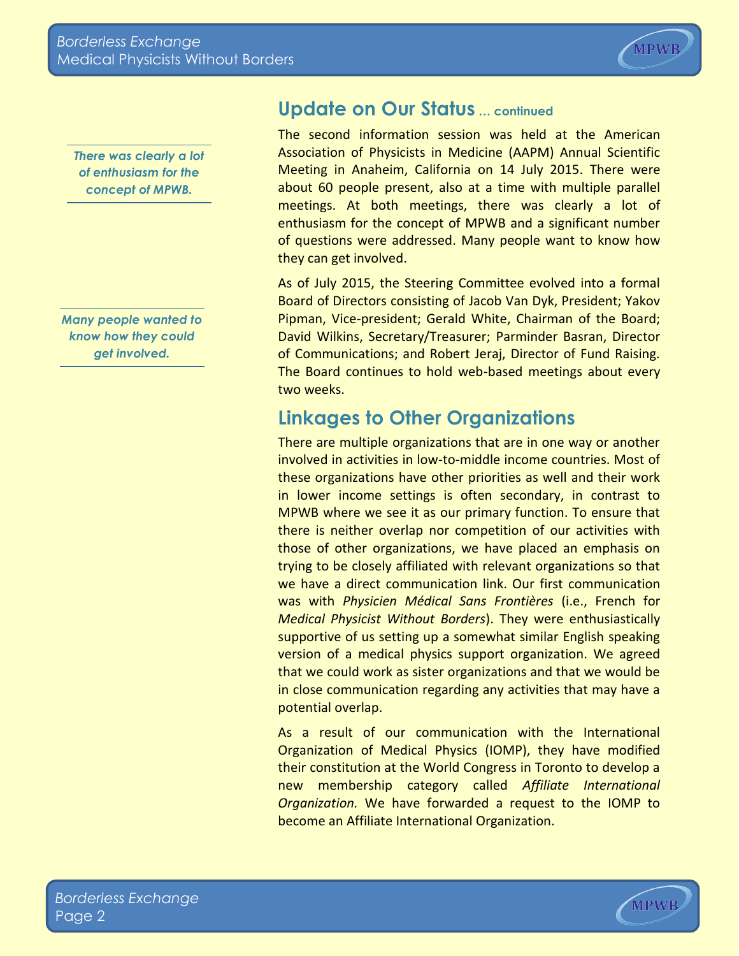

*There was clearly a lot of enthusiasm for the concept of MPWB.*

*Many people wanted to know how they could get involved.*

### **Update on Our Status … continued**

The second information session was held at the American Association of Physicists in Medicine (AAPM) Annual Scientific Meeting in Anaheim, California on 14 July 2015. There were about 60 people present, also at a time with multiple parallel meetings. At both meetings, there was clearly a lot of enthusiasm for the concept of MPWB and a significant number of questions were addressed. Many people want to know how they can get involved.

As of July 2015, the Steering Committee evolved into a formal Board of Directors consisting of Jacob Van Dyk, President; Yakov Pipman, Vice-president; Gerald White, Chairman of the Board; David Wilkins, Secretary/Treasurer; Parminder Basran, Director of Communications; and Robert Jeraj, Director of Fund Raising. The Board continues to hold web-based meetings about every two weeks.

## **Linkages to Other Organizations**

There are multiple organizations that are in one way or another involved in activities in low-to-middle income countries. Most of these organizations have other priorities as well and their work in lower income settings is often secondary, in contrast to MPWB where we see it as our primary function. To ensure that there is neither overlap nor competition of our activities with those of other organizations, we have placed an emphasis on trying to be closely affiliated with relevant organizations so that we have a direct communication link. Our first communication was with *Physicien Médical Sans Frontières* (i.e., French for *Medical Physicist Without Borders*). They were enthusiastically supportive of us setting up a somewhat similar English speaking version of a medical physics support organization. We agreed that we could work as sister organizations and that we would be in close communication regarding any activities that may have a potential overlap.

As a result of our communication with the International Organization of Medical Physics (IOMP), they have modified their constitution at the World Congress in Toronto to develop a new membership category called *Affiliate International Organization.* We have forwarded a request to the IOMP to become an Affiliate International Organization.

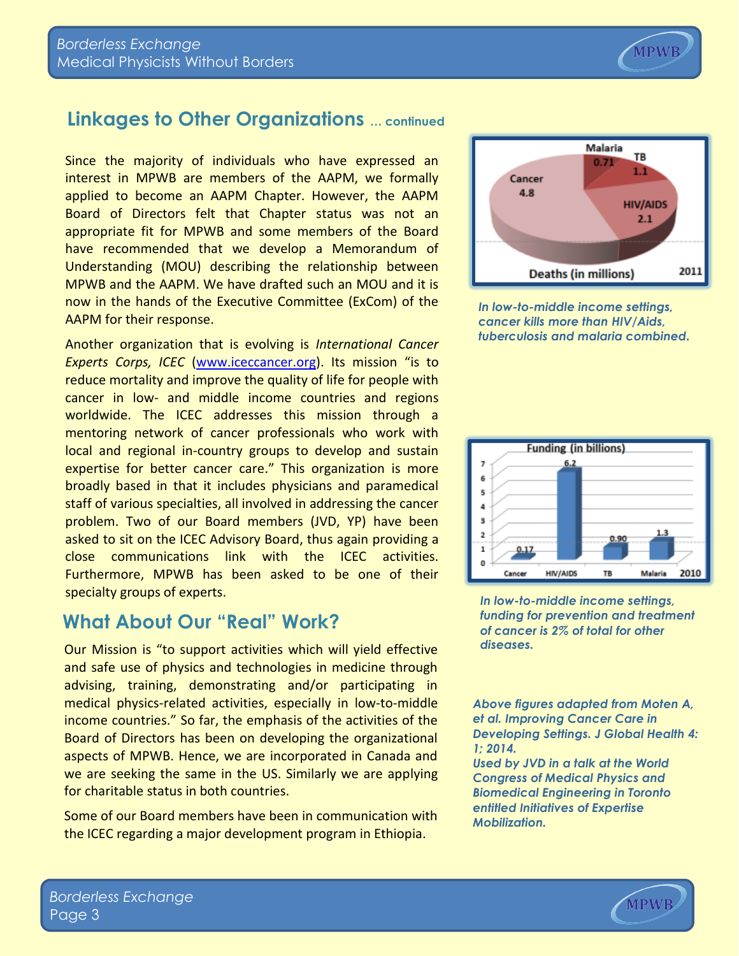## **Linkages to Other Organizations … continued**

Since the majority of individuals who have expressed an interest in MPWB are members of the AAPM, we formally applied to become an AAPM Chapter. However, the AAPM Board of Directors felt that Chapter status was not an appropriate fit for MPWB and some members of the Board have recommended that we develop a Memorandum of Understanding (MOU) describing the relationship between MPWB and the AAPM. We have drafted such an MOU and it is now in the hands of the Executive Committee (ExCom) of the AAPM for their response.

Another organization that is evolving is *International Cancer Experts Corps, ICEC* [\(www.iceccancer.org\)](http://www.iceccancer.org/). Its mission "is to reduce mortality and improve the quality of life for people with cancer in low- and middle income countries and regions worldwide. The ICEC addresses this mission through a mentoring network of cancer professionals who work with local and regional in-country groups to develop and sustain expertise for better cancer care." This organization is more broadly based in that it includes physicians and paramedical staff of various specialties, all involved in addressing the cancer problem. Two of our Board members (JVD, YP) have been asked to sit on the ICEC Advisory Board, thus again providing a close communications link with the ICEC activities. Furthermore, MPWB has been asked to be one of their specialty groups of experts.

#### **What About Our "Real" Work?**

Our Mission is "to support activities which will yield effective and safe use of physics and technologies in medicine through advising, training, demonstrating and/or participating in medical physics-related activities, especially in low-to-middle income countries." So far, the emphasis of the activities of the Board of Directors has been on developing the organizational aspects of MPWB. Hence, we are incorporated in Canada and we are seeking the same in the US. Similarly we are applying for charitable status in both countries.

Some of our Board members have been in communication with the ICEC regarding a major development program in Ethiopia.

*In low-to-middle income settings, cancer kills more than HIV/Aids, tuberculosis and malaria combined.*

**Funding (in billions)** 

 $6.2$ 

**HIV/AIDS** 

 $\overline{7}$ 

 $\mathbf{1}$ 

 $0.17$ 

Cancer



 $0.90$ 

Malaria

2010

TB

*Above figures adapted from Moten A, et al. Improving Cancer Care in Developing Settings. J Global Health 4: 1; 2014.*

*Used by JVD in a talk at the World Congress of Medical Physics and Biomedical Engineering in Toronto entitled Initiatives of Expertise Mobilization.*